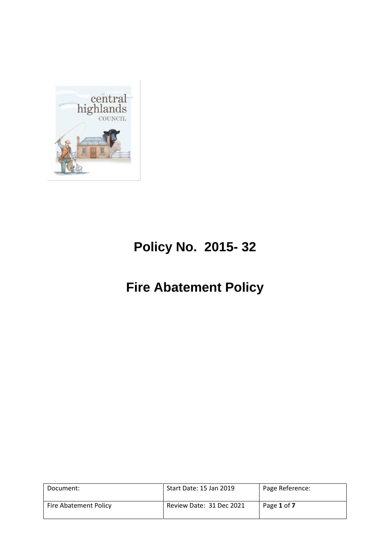

# **Policy No. 2015- 32**

# **Fire Abatement Policy**

| Document:             | Start Date: 15 Jan 2019  | Page Reference: |
|-----------------------|--------------------------|-----------------|
| Fire Abatement Policy | Review Date: 31 Dec 2021 | Page 1 of 7     |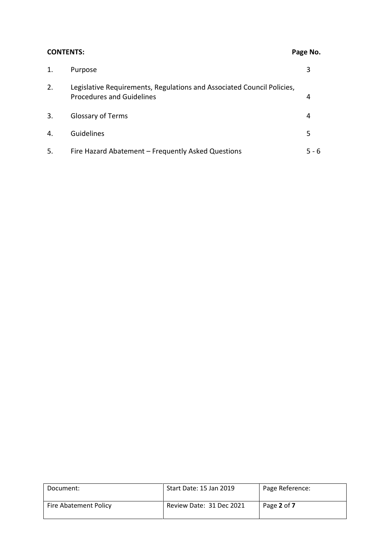# **CONTENTS: Page No.**

| 1. | Purpose                                                                                                    |       |
|----|------------------------------------------------------------------------------------------------------------|-------|
| 2. | Legislative Requirements, Regulations and Associated Council Policies,<br><b>Procedures and Guidelines</b> | 4     |
| 3. | <b>Glossary of Terms</b>                                                                                   |       |
| 4. | Guidelines                                                                                                 |       |
| 5. | Fire Hazard Abatement – Frequently Asked Questions                                                         | 5 - 6 |

| Document:                    | Start Date: 15 Jan 2019  | Page Reference: |
|------------------------------|--------------------------|-----------------|
| <b>Fire Abatement Policy</b> | Review Date: 31 Dec 2021 | Page 2 of 7     |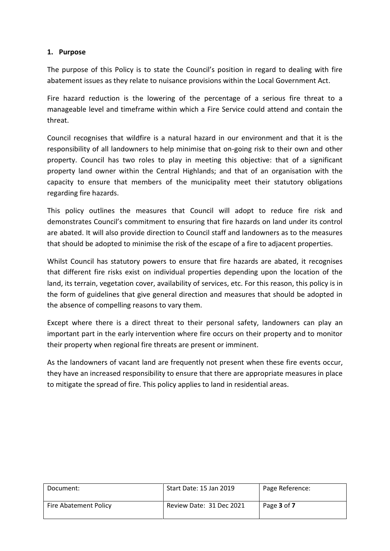### **1. Purpose**

The purpose of this Policy is to state the Council's position in regard to dealing with fire abatement issues as they relate to nuisance provisions within the Local Government Act.

Fire hazard reduction is the lowering of the percentage of a serious fire threat to a manageable level and timeframe within which a Fire Service could attend and contain the threat.

Council recognises that wildfire is a natural hazard in our environment and that it is the responsibility of all landowners to help minimise that on-going risk to their own and other property. Council has two roles to play in meeting this objective: that of a significant property land owner within the Central Highlands; and that of an organisation with the capacity to ensure that members of the municipality meet their statutory obligations regarding fire hazards.

This policy outlines the measures that Council will adopt to reduce fire risk and demonstrates Council's commitment to ensuring that fire hazards on land under its control are abated. It will also provide direction to Council staff and landowners as to the measures that should be adopted to minimise the risk of the escape of a fire to adjacent properties.

Whilst Council has statutory powers to ensure that fire hazards are abated, it recognises that different fire risks exist on individual properties depending upon the location of the land, its terrain, vegetation cover, availability of services, etc. For this reason, this policy is in the form of guidelines that give general direction and measures that should be adopted in the absence of compelling reasons to vary them.

Except where there is a direct threat to their personal safety, landowners can play an important part in the early intervention where fire occurs on their property and to monitor their property when regional fire threats are present or imminent.

As the landowners of vacant land are frequently not present when these fire events occur, they have an increased responsibility to ensure that there are appropriate measures in place to mitigate the spread of fire. This policy applies to land in residential areas.

| Document:             | Start Date: 15 Jan 2019  | Page Reference: |
|-----------------------|--------------------------|-----------------|
| Fire Abatement Policy | Review Date: 31 Dec 2021 | Page 3 of 7     |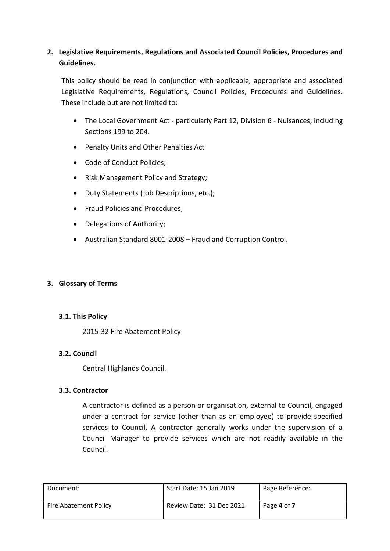# **2. Legislative Requirements, Regulations and Associated Council Policies, Procedures and Guidelines.**

This policy should be read in conjunction with applicable, appropriate and associated Legislative Requirements, Regulations, Council Policies, Procedures and Guidelines. These include but are not limited to:

- The Local Government Act particularly Part 12, Division 6 Nuisances; including Sections 199 to 204.
- Penalty Units and Other Penalties Act
- Code of Conduct Policies;
- Risk Management Policy and Strategy;
- Duty Statements (Job Descriptions, etc.);
- Fraud Policies and Procedures;
- Delegations of Authority;
- Australian Standard 8001-2008 Fraud and Corruption Control.

#### **3. Glossary of Terms**

#### **3.1. This Policy**

2015-32 Fire Abatement Policy

#### **3.2. Council**

Central Highlands Council.

#### **3.3. Contractor**

A contractor is defined as a person or organisation, external to Council, engaged under a contract for service (other than as an employee) to provide specified services to Council. A contractor generally works under the supervision of a Council Manager to provide services which are not readily available in the Council.

| Document:             | Start Date: 15 Jan 2019  | Page Reference: |
|-----------------------|--------------------------|-----------------|
| Fire Abatement Policy | Review Date: 31 Dec 2021 | Page 4 of 7     |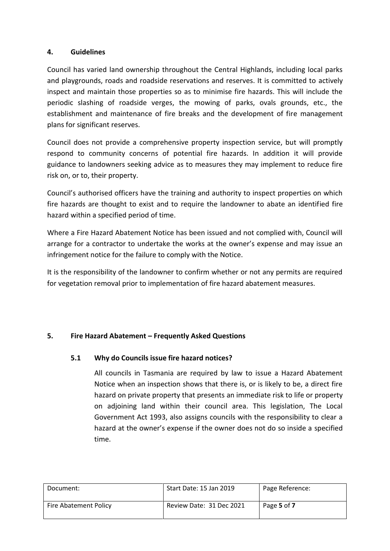### **4. Guidelines**

Council has varied land ownership throughout the Central Highlands, including local parks and playgrounds, roads and roadside reservations and reserves. It is committed to actively inspect and maintain those properties so as to minimise fire hazards. This will include the periodic slashing of roadside verges, the mowing of parks, ovals grounds, etc., the establishment and maintenance of fire breaks and the development of fire management plans for significant reserves.

Council does not provide a comprehensive property inspection service, but will promptly respond to community concerns of potential fire hazards. In addition it will provide guidance to landowners seeking advice as to measures they may implement to reduce fire risk on, or to, their property.

Council's authorised officers have the training and authority to inspect properties on which fire hazards are thought to exist and to require the landowner to abate an identified fire hazard within a specified period of time.

Where a Fire Hazard Abatement Notice has been issued and not complied with, Council will arrange for a contractor to undertake the works at the owner's expense and may issue an infringement notice for the failure to comply with the Notice.

It is the responsibility of the landowner to confirm whether or not any permits are required for vegetation removal prior to implementation of fire hazard abatement measures.

## **5. Fire Hazard Abatement – Frequently Asked Questions**

## **5.1 Why do Councils issue fire hazard notices?**

All councils in Tasmania are required by law to issue a Hazard Abatement Notice when an inspection shows that there is, or is likely to be, a direct fire hazard on private property that presents an immediate risk to life or property on adjoining land within their council area. This legislation, The Local Government Act 1993, also assigns councils with the responsibility to clear a hazard at the owner's expense if the owner does not do so inside a specified time.

| Document:                    | Start Date: 15 Jan 2019  | Page Reference: |
|------------------------------|--------------------------|-----------------|
| <b>Fire Abatement Policy</b> | Review Date: 31 Dec 2021 | Page 5 of 7     |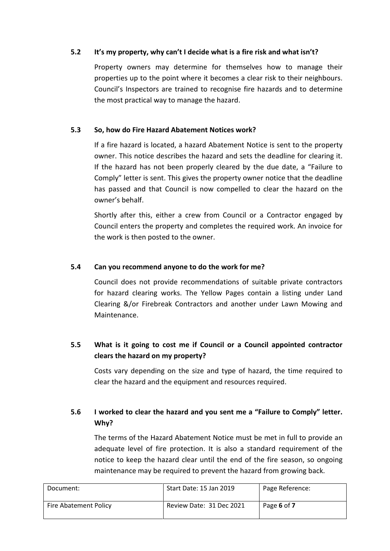### **5.2 It's my property, why can't I decide what is a fire risk and what isn't?**

Property owners may determine for themselves how to manage their properties up to the point where it becomes a clear risk to their neighbours. Council's Inspectors are trained to recognise fire hazards and to determine the most practical way to manage the hazard.

### **5.3 So, how do Fire Hazard Abatement Notices work?**

If a fire hazard is located, a hazard Abatement Notice is sent to the property owner. This notice describes the hazard and sets the deadline for clearing it. If the hazard has not been properly cleared by the due date, a "Failure to Comply" letter is sent. This gives the property owner notice that the deadline has passed and that Council is now compelled to clear the hazard on the owner's behalf.

Shortly after this, either a crew from Council or a Contractor engaged by Council enters the property and completes the required work. An invoice for the work is then posted to the owner.

#### **5.4 Can you recommend anyone to do the work for me?**

Council does not provide recommendations of suitable private contractors for hazard clearing works. The Yellow Pages contain a listing under Land Clearing &/or Firebreak Contractors and another under Lawn Mowing and Maintenance.

# **5.5 What is it going to cost me if Council or a Council appointed contractor clears the hazard on my property?**

Costs vary depending on the size and type of hazard, the time required to clear the hazard and the equipment and resources required.

# **5.6 I worked to clear the hazard and you sent me a "Failure to Comply" letter. Why?**

The terms of the Hazard Abatement Notice must be met in full to provide an adequate level of fire protection. It is also a standard requirement of the notice to keep the hazard clear until the end of the fire season, so ongoing maintenance may be required to prevent the hazard from growing back.

| Document:             | Start Date: 15 Jan 2019  | Page Reference: |
|-----------------------|--------------------------|-----------------|
| Fire Abatement Policy | Review Date: 31 Dec 2021 | Page 6 of 7     |